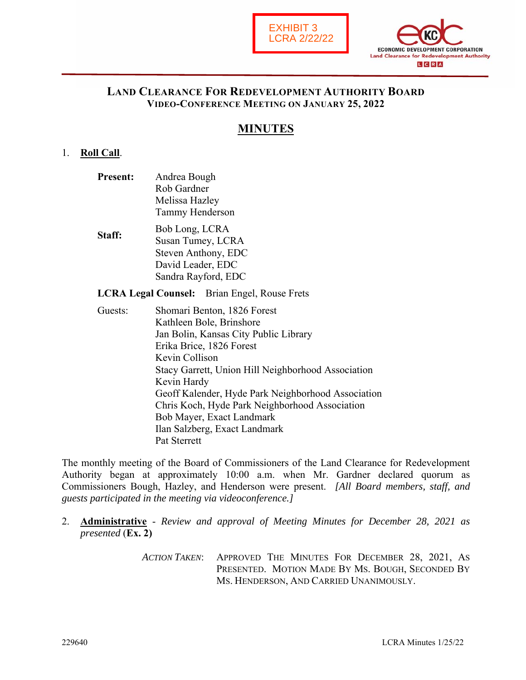



### **LAND CLEARANCE FOR REDEVELOPMENT AUTHORITY BOARD VIDEO-CONFERENCE MEETING ON JANUARY 25, 2022**

# **MINUTES**

#### 1. **Roll Call**.

- **Present:** Andrea Bough Rob Gardner Melissa Hazley Tammy Henderson
- **Staff:** Bob Long, LCRA Susan Tumey, LCRA Steven Anthony, EDC David Leader, EDC Sandra Rayford, EDC

**LCRA Legal Counsel:** Brian Engel, Rouse Frets

Guests: Shomari Benton, 1826 Forest Kathleen Bole, Brinshore Jan Bolin, Kansas City Public Library Erika Brice, 1826 Forest Kevin Collison Stacy Garrett, Union Hill Neighborhood Association Kevin Hardy Geoff Kalender, Hyde Park Neighborhood Association Chris Koch, Hyde Park Neighborhood Association Bob Mayer, Exact Landmark Ilan Salzberg, Exact Landmark Pat Sterrett

The monthly meeting of the Board of Commissioners of the Land Clearance for Redevelopment Authority began at approximately 10:00 a.m. when Mr. Gardner declared quorum as Commissioners Bough, Hazley, and Henderson were present. *[All Board members, staff, and guests participated in the meeting via videoconference.]* 

- 2. **Administrative** *Review and approval of Meeting Minutes for December 28, 2021 as presented* (**Ex. 2)**
	- *ACTION TAKEN*: APPROVED THE MINUTES FOR DECEMBER 28, 2021, AS PRESENTED. MOTION MADE BY MS. BOUGH, SECONDED BY MS. HENDERSON, AND CARRIED UNANIMOUSLY.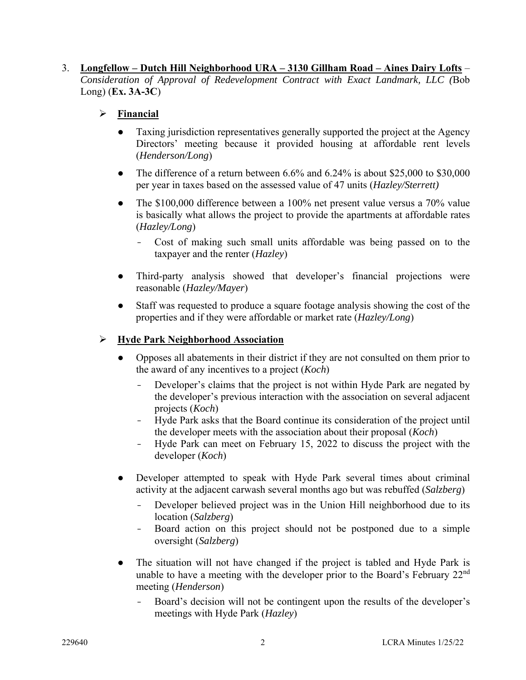### 3. **Longfellow – Dutch Hill Neighborhood URA – 3130 Gillham Road – Aines Dairy Lofts** – *Consideration of Approval of Redevelopment Contract with Exact Landmark, LLC (*Bob Long) (**Ex. 3A-3C**)

## **Financial**

- Taxing jurisdiction representatives generally supported the project at the Agency Directors' meeting because it provided housing at affordable rent levels (*Henderson/Long*)
- The difference of a return between  $6.6\%$  and  $6.24\%$  is about \$25,000 to \$30,000 per year in taxes based on the assessed value of 47 units (*Hazley/Sterrett)*
- The \$100,000 difference between a 100% net present value versus a 70% value is basically what allows the project to provide the apartments at affordable rates (*Hazley/Long*)
	- Cost of making such small units affordable was being passed on to the taxpayer and the renter (*Hazley*)
- Third-party analysis showed that developer's financial projections were reasonable (*Hazley/Mayer*)
- Staff was requested to produce a square footage analysis showing the cost of the properties and if they were affordable or market rate (*Hazley/Long*)

## **Hyde Park Neighborhood Association**

- Opposes all abatements in their district if they are not consulted on them prior to the award of any incentives to a project (*Koch*)
	- Developer's claims that the project is not within Hyde Park are negated by the developer's previous interaction with the association on several adjacent projects (*Koch*)
	- Hyde Park asks that the Board continue its consideration of the project until the developer meets with the association about their proposal (*Koch*)
	- Hyde Park can meet on February 15, 2022 to discuss the project with the developer (*Koch*)
- Developer attempted to speak with Hyde Park several times about criminal activity at the adjacent carwash several months ago but was rebuffed (*Salzberg*)
	- Developer believed project was in the Union Hill neighborhood due to its location (*Salzberg*)
	- Board action on this project should not be postponed due to a simple oversight (*Salzberg*)
- The situation will not have changed if the project is tabled and Hyde Park is unable to have a meeting with the developer prior to the Board's February 22<sup>nd</sup> meeting (*Henderson*)
	- Board's decision will not be contingent upon the results of the developer's meetings with Hyde Park (*Hazley*)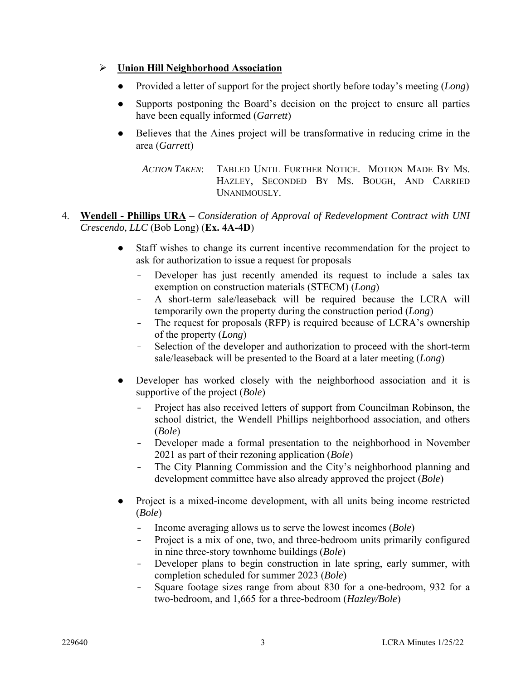### **Union Hill Neighborhood Association**

- Provided a letter of support for the project shortly before today's meeting (*Long*)
- Supports postponing the Board's decision on the project to ensure all parties have been equally informed (*Garrett*)
- Believes that the Aines project will be transformative in reducing crime in the area (*Garrett*)

*ACTION TAKEN*: TABLED UNTIL FURTHER NOTICE. MOTION MADE BY MS. HAZLEY, SECONDED BY MS. BOUGH, AND CARRIED UNANIMOUSLY.

- 4. **Wendell Phillips URA** *Consideration of Approval of Redevelopment Contract with UNI Crescendo, LLC* (Bob Long) (**Ex. 4A-4D**)
	- Staff wishes to change its current incentive recommendation for the project to ask for authorization to issue a request for proposals
		- Developer has just recently amended its request to include a sales tax exemption on construction materials (STECM) (*Long*)
		- A short-term sale/leaseback will be required because the LCRA will temporarily own the property during the construction period (*Long*)
		- The request for proposals (RFP) is required because of LCRA's ownership of the property (*Long*)
		- Selection of the developer and authorization to proceed with the short-term sale/leaseback will be presented to the Board at a later meeting (*Long*)
	- Developer has worked closely with the neighborhood association and it is supportive of the project (*Bole*)
		- Project has also received letters of support from Councilman Robinson, the school district, the Wendell Phillips neighborhood association, and others (*Bole*)
		- Developer made a formal presentation to the neighborhood in November 2021 as part of their rezoning application (*Bole*)
		- The City Planning Commission and the City's neighborhood planning and development committee have also already approved the project (*Bole*)
	- Project is a mixed-income development, with all units being income restricted (*Bole*)
		- Income averaging allows us to serve the lowest incomes (*Bole*)
		- Project is a mix of one, two, and three-bedroom units primarily configured in nine three-story townhome buildings (*Bole*)
		- Developer plans to begin construction in late spring, early summer, with completion scheduled for summer 2023 (*Bole*)
		- Square footage sizes range from about 830 for a one-bedroom, 932 for a two-bedroom, and 1,665 for a three-bedroom (*Hazley/Bole*)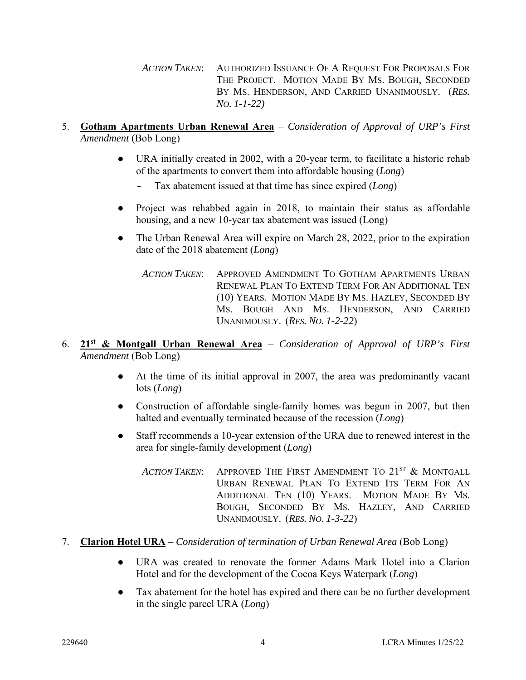*ACTION TAKEN*: AUTHORIZED ISSUANCE OF A REQUEST FOR PROPOSALS FOR THE PROJECT. MOTION MADE BY MS. BOUGH, SECONDED BY MS. HENDERSON, AND CARRIED UNANIMOUSLY. (*RES. NO. 1-1-22)*

- 5. **Gotham Apartments Urban Renewal Area** *Consideration of Approval of URP's First Amendment* (Bob Long)
	- URA initially created in 2002, with a 20-year term, to facilitate a historic rehab of the apartments to convert them into affordable housing (*Long*)
		- Tax abatement issued at that time has since expired (*Long*)
	- Project was rehabbed again in 2018, to maintain their status as affordable housing, and a new 10-year tax abatement was issued (Long)
	- The Urban Renewal Area will expire on March 28, 2022, prior to the expiration date of the 2018 abatement (*Long*)
		- *ACTION TAKEN*: APPROVED AMENDMENT TO GOTHAM APARTMENTS URBAN RENEWAL PLAN TO EXTEND TERM FOR AN ADDITIONAL TEN (10) YEARS. MOTION MADE BY MS. HAZLEY, SECONDED BY MS. BOUGH AND MS. HENDERSON, AND CARRIED UNANIMOUSLY. (*RES. NO. 1-2-22*)
- 6. **21st & Montgall Urban Renewal Area** *Consideration of Approval of URP's First Amendment* (Bob Long)
	- At the time of its initial approval in 2007, the area was predominantly vacant lots (*Long*)
	- Construction of affordable single-family homes was begun in 2007, but then halted and eventually terminated because of the recession (*Long*)
	- Staff recommends a 10-year extension of the URA due to renewed interest in the area for single-family development (*Long*)
		- ACTION TAKEN: APPROVED THE FIRST AMENDMENT TO 21<sup>ST</sup> & MONTGALL URBAN RENEWAL PLAN TO EXTEND ITS TERM FOR AN ADDITIONAL TEN (10) YEARS. MOTION MADE BY MS. BOUGH, SECONDED BY MS. HAZLEY, AND CARRIED UNANIMOUSLY. (*RES. NO. 1-3-22*)
- 7. **Clarion Hotel URA** *Consideration of termination of Urban Renewal Area* (Bob Long)
	- URA was created to renovate the former Adams Mark Hotel into a Clarion Hotel and for the development of the Cocoa Keys Waterpark (*Long*)
	- Tax abatement for the hotel has expired and there can be no further development in the single parcel URA (*Long*)